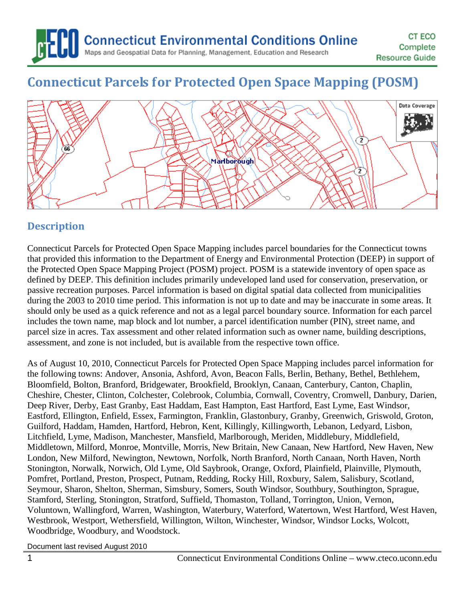

# **Connecticut Parcels for Protected Open Space Mapping (POSM)**



# **Description**

Connecticut Parcels for Protected Open Space Mapping includes parcel boundaries for the Connecticut towns that provided this information to the Department of Energy and Environmental Protection (DEEP) in support of the Protected Open Space Mapping Project (POSM) project. POSM is a statewide inventory of open space as defined by DEEP. This definition includes primarily undeveloped land used for conservation, preservation, or passive recreation purposes. Parcel information is based on digital spatial data collected from municipalities during the 2003 to 2010 time period. This information is not up to date and may be inaccurate in some areas. It should only be used as a quick reference and not as a legal parcel boundary source. Information for each parcel includes the town name, map block and lot number, a parcel identification number (PIN), street name, and parcel size in acres. Tax assessment and other related information such as owner name, building descriptions, assessment, and zone is not included, but is available from the respective town office.

As of August 10, 2010, Connecticut Parcels for Protected Open Space Mapping includes parcel information for the following towns: Andover, Ansonia, Ashford, Avon, Beacon Falls, Berlin, Bethany, Bethel, Bethlehem, Bloomfield, Bolton, Branford, Bridgewater, Brookfield, Brooklyn, Canaan, Canterbury, Canton, Chaplin, Cheshire, Chester, Clinton, Colchester, Colebrook, Columbia, Cornwall, Coventry, Cromwell, Danbury, Darien, Deep River, Derby, East Granby, East Haddam, East Hampton, East Hartford, East Lyme, East Windsor, Eastford, Ellington, Enfield, Essex, Farmington, Franklin, Glastonbury, Granby, Greenwich, Griswold, Groton, Guilford, Haddam, Hamden, Hartford, Hebron, Kent, Killingly, Killingworth, Lebanon, Ledyard, Lisbon, Litchfield, Lyme, Madison, Manchester, Mansfield, Marlborough, Meriden, Middlebury, Middlefield, Middletown, Milford, Monroe, Montville, Morris, New Britain, New Canaan, New Hartford, New Haven, New London, New Milford, Newington, Newtown, Norfolk, North Branford, North Canaan, North Haven, North Stonington, Norwalk, Norwich, Old Lyme, Old Saybrook, Orange, Oxford, Plainfield, Plainville, Plymouth, Pomfret, Portland, Preston, Prospect, Putnam, Redding, Rocky Hill, Roxbury, Salem, Salisbury, Scotland, Seymour, Sharon, Shelton, Sherman, Simsbury, Somers, South Windsor, Southbury, Southington, Sprague, Stamford, Sterling, Stonington, Stratford, Suffield, Thomaston, Tolland, Torrington, Union, Vernon, Voluntown, Wallingford, Warren, Washington, Waterbury, Waterford, Watertown, West Hartford, West Haven, Westbrook, Westport, Wethersfield, Willington, Wilton, Winchester, Windsor, Windsor Locks, Wolcott, Woodbridge, Woodbury, and Woodstock.

Document last revised August 2010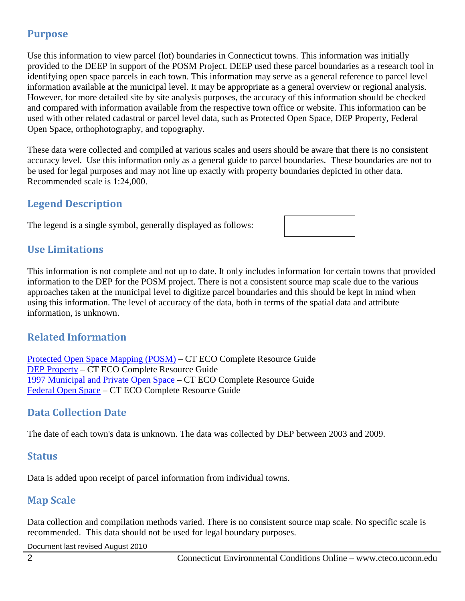## **Purpose**

Use this information to view parcel (lot) boundaries in Connecticut towns. This information was initially provided to the DEEP in support of the POSM Project. DEEP used these parcel boundaries as a research tool in identifying open space parcels in each town. This information may serve as a general reference to parcel level information available at the municipal level. It may be appropriate as a general overview or regional analysis. However, for more detailed site by site analysis purposes, the accuracy of this information should be checked and compared with information available from the respective town office or website. This information can be used with other related cadastral or parcel level data, such as Protected Open Space, DEP Property, Federal Open Space, orthophotography, and topography.

These data were collected and compiled at various scales and users should be aware that there is no consistent accuracy level. Use this information only as a general guide to parcel boundaries. These boundaries are not to be used for legal purposes and may not line up exactly with property boundaries depicted in other data. Recommended scale is 1:24,000.

## **Legend Description**

The legend is a single symbol, generally displayed as follows:

## **Use Limitations**

This information is not complete and not up to date. It only includes information for certain towns that provided information to the DEP for the POSM project. There is not a consistent source map scale due to the various approaches taken at the municipal level to digitize parcel boundaries and this should be kept in mind when using this information. The level of accuracy of the data, both in terms of the spatial data and attribute information, is unknown.

## **Related Information**

[Protected Open Space Mapping \(POSM\)](http://cteco.uconn.edu/guides/resource/CT_ECO_Resource_Guide_Protected_Open_Space.pdf) – CT ECO Complete Resource Guide [DEP Property](http://cteco.uconn.edu/guides/resource/CT_ECO_Resource_Guide_DEP_Property.pdf) – CT ECO Complete Resource Guide [1997 Municipal and Private Open Space](http://cteco.uconn.edu/guides/resource/CT_ECO_Resource_Guide_1997_Municipal_Private_Open_Space.pdf) – CT ECO Complete Resource Guide [Federal Open Space](http://cteco.uconn.edu/guides/resource/CT_ECO_Resource_Guide_Federal_Open_Space.pdf) – CT ECO Complete Resource Guide

## **Data Collection Date**

The date of each town's data is unknown. The data was collected by DEP between 2003 and 2009.

#### **Status**

Data is added upon receipt of parcel information from individual towns.

## **Map Scale**

Data collection and compilation methods varied. There is no consistent source map scale. No specific scale is recommended. This data should not be used for legal boundary purposes.

Document last revised August 2010